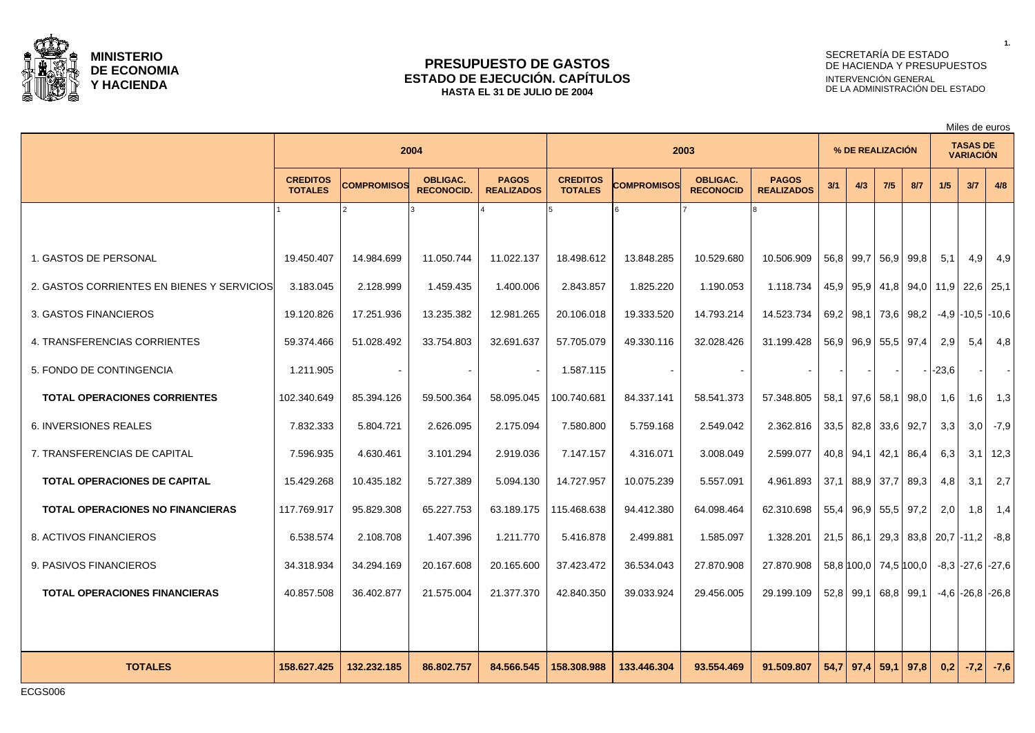

### **PRESUPUESTO DE GASTOS ESTADO DE EJECUCIÓN. CAPÍTULOS HASTA EL 31 DE JULIO DE 2004**

# SECRETARÍA DE ESTADO DE HACIENDA Y PRESUPUESTOS INTERVENCIÓN GENERAL DE LA ADMINISTRACIÓN DEL ESTADO

Miles de euros

|                                            |                                   |             | 2004                                 |                                   |                                   |             | 2003                                |                                   |      | % DE REALIZACIÓN        |                |      |                                         | <b>TASAS DE</b><br><b>VARIACIÓN</b> |                        |
|--------------------------------------------|-----------------------------------|-------------|--------------------------------------|-----------------------------------|-----------------------------------|-------------|-------------------------------------|-----------------------------------|------|-------------------------|----------------|------|-----------------------------------------|-------------------------------------|------------------------|
|                                            | <b>CREDITOS</b><br><b>TOTALES</b> | COMPROMISOS | <b>OBLIGAC.</b><br><b>RECONOCID.</b> | <b>PAGOS</b><br><b>REALIZADOS</b> | <b>CREDITOS</b><br><b>TOTALES</b> | COMPROMISOS | <b>OBLIGAC.</b><br><b>RECONOCID</b> | <b>PAGOS</b><br><b>REALIZADOS</b> | 3/1  | 4/3                     | 7/5            | 8/7  | 1/5                                     | 3/7                                 | 4/8                    |
|                                            |                                   |             |                                      |                                   |                                   |             |                                     |                                   |      |                         |                |      |                                         |                                     |                        |
| 1. GASTOS DE PERSONAL                      | 19.450.407                        | 14.984.699  | 11.050.744                           | 11.022.137                        | 18.498.612                        | 13.848.285  | 10.529.680                          | 10.506.909                        |      | 56,8 99,7 56,9 99,8     |                |      | 5,1                                     | $4,9$                               | 4,9                    |
| 2. GASTOS CORRIENTES EN BIENES Y SERVICIOS | 3.183.045                         | 2.128.999   | 1.459.435                            | 1.400.006                         | 2.843.857                         | 1.825.220   | 1.190.053                           | 1.118.734                         | 45,9 |                         |                |      | 95,9   41,8   94,0   11,9   22,6   25,1 |                                     |                        |
| 3. GASTOS FINANCIEROS                      | 19.120.826                        | 17.251.936  | 13.235.382                           | 12.981.265                        | 20.106.018                        | 19.333.520  | 14.793.214                          | 14.523.734                        |      | 69,2 98,1 73,6 98,2     |                |      |                                         |                                     | $-4.9$ $-10.5$ $-10.6$ |
| 4. TRANSFERENCIAS CORRIENTES               | 59.374.466                        | 51.028.492  | 33.754.803                           | 32.691.637                        | 57.705.079                        | 49.330.116  | 32.028.426                          | 31.199.428                        |      | 56,9 96,9 55,5 97,4     |                |      | 2.9                                     | 5,4                                 | 4,8                    |
| 5. FONDO DE CONTINGENCIA                   | 1.211.905                         |             |                                      |                                   | 1.587.115                         |             | $\sim$                              |                                   |      |                         |                |      | $ -23,6 $                               |                                     | $\sim$                 |
| <b>TOTAL OPERACIONES CORRIENTES</b>        | 102.340.649                       | 85.394.126  | 59.500.364                           | 58.095.045                        | 100.740.681                       | 84.337.141  | 58.541.373                          | 57.348.805                        |      | 58.1 97.6 58.1 98.0     |                |      | 1,6                                     | 1,6                                 | 1,3                    |
| <b>6. INVERSIONES REALES</b>               | 7.832.333                         | 5.804.721   | 2.626.095                            | 2.175.094                         | 7.580.800                         | 5.759.168   | 2.549.042                           | 2.362.816                         | 33,5 | 82,8                    | 33,6 92,7      |      | 3,3                                     | 3,0                                 | $-7,9$                 |
| 7. TRANSFERENCIAS DE CAPITAL               | 7.596.935                         | 4.630.461   | 3.101.294                            | 2.919.036                         | 7.147.157                         | 4.316.071   | 3.008.049                           | 2.599.077                         |      | 40,8 94,1               | 42,1 86,4      |      | 6,3                                     |                                     | $3,1$   12,3           |
| <b>TOTAL OPERACIONES DE CAPITAL</b>        | 15.429.268                        | 10.435.182  | 5.727.389                            | 5.094.130                         | 14.727.957                        | 10.075.239  | 5.557.091                           | 4.961.893                         | 37,1 |                         | 88,9 37,7 89,3 |      | 4,8                                     | 3,1                                 | 2,7                    |
| <b>TOTAL OPERACIONES NO FINANCIERAS</b>    | 117.769.917                       | 95.829.308  | 65.227.753                           | 63.189.175                        | 115.468.638                       | 94.412.380  | 64.098.464                          | 62.310.698                        | 55,4 | 96,9                    | 55,5 97,2      |      | 2,0                                     | 1,8                                 | 1,4                    |
| 8. ACTIVOS FINANCIEROS                     | 6.538.574                         | 2.108.708   | 1.407.396                            | 1.211.770                         | 5.416.878                         | 2.499.881   | 1.585.097                           | 1.328.201                         |      | $21,5$ 86,1             |                |      | 29,3 83,8 20,7 - 11,2                   |                                     | $-8.8$                 |
| 9. PASIVOS FINANCIEROS                     | 34.318.934                        | 34.294.169  | 20.167.608                           | 20.165.600                        | 37.423.472                        | 36.534.043  | 27.870.908                          | 27.870.908                        |      | 58,8 100,0   74,5 100,0 |                |      |                                         |                                     | -8.3 -27.6 -27.6       |
| <b>TOTAL OPERACIONES FINANCIERAS</b>       | 40.857.508                        | 36.402.877  | 21.575.004                           | 21.377.370                        | 42.840.350                        | 39.033.924  | 29.456.005                          | 29.199.109                        |      | $52,8$ 99,1             | 68,8 99,1      |      |                                         |                                     | $-4,6$ $-26,8$ $-26,8$ |
|                                            |                                   |             |                                      |                                   |                                   |             |                                     |                                   |      |                         |                |      |                                         |                                     |                        |
| <b>TOTALES</b>                             | 158.627.425                       | 132.232.185 | 86.802.757                           | 84.566.545                        | 158.308.988                       | 133.446.304 | 93.554.469                          | 91.509.807                        |      | $54.7$   97,4           | 59,1           | 97.8 | 0,2                                     | $-7,2$                              | $-7,6$                 |

**1.**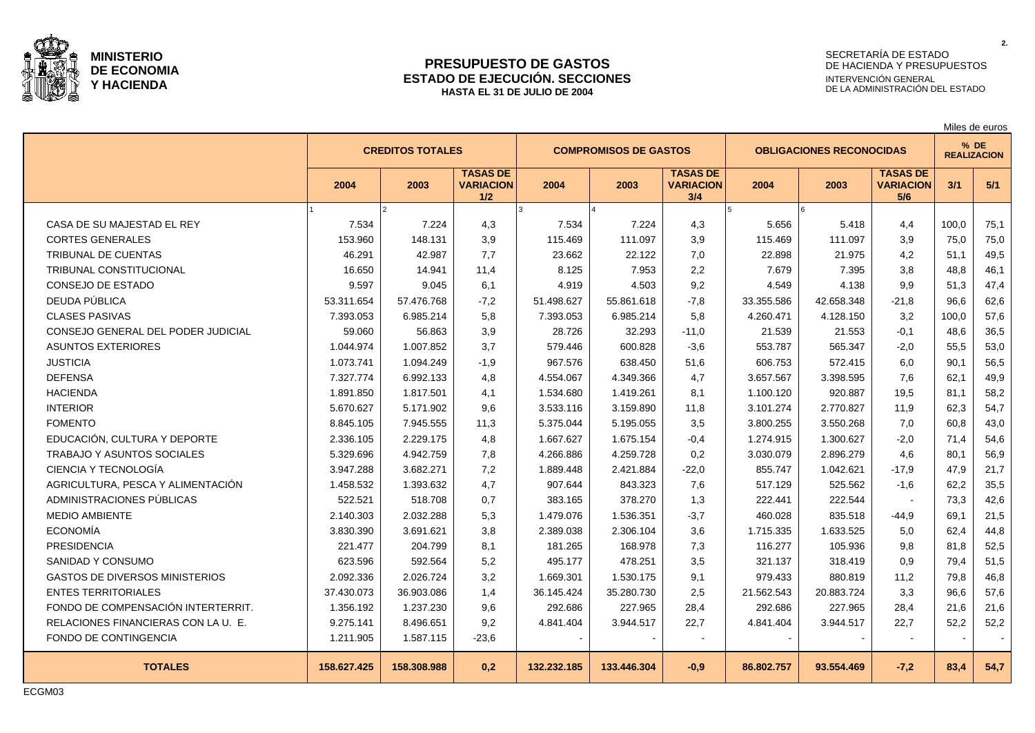

### **PRESUPUESTO DE GASTOS ESTADO DE EJECUCIÓN. SECCIONES HASTA EL 31 DE JULIO DE 2004**

# SECRETARÍA DE ESTADO DE HACIENDA Y PRESUPUESTOS INTERVENCIÓN GENERAL DE LA ADMINISTRACIÓN DEL ESTADO

|                                       |             |                         |                                            |             |                              |                                            |                                 |            |                                            |       | Miles de euros             |
|---------------------------------------|-------------|-------------------------|--------------------------------------------|-------------|------------------------------|--------------------------------------------|---------------------------------|------------|--------------------------------------------|-------|----------------------------|
|                                       |             | <b>CREDITOS TOTALES</b> |                                            |             | <b>COMPROMISOS DE GASTOS</b> |                                            | <b>OBLIGACIONES RECONOCIDAS</b> |            |                                            |       | % DE<br><b>REALIZACION</b> |
|                                       | 2004        | 2003                    | <b>TASAS DE</b><br><b>VARIACION</b><br>1/2 | 2004        | 2003                         | <b>TASAS DE</b><br><b>VARIACION</b><br>3/4 | 2004                            | 2003       | <b>TASAS DE</b><br><b>VARIACION</b><br>5/6 | 3/1   | 5/1                        |
|                                       |             |                         |                                            |             |                              |                                            |                                 |            |                                            |       |                            |
| CASA DE SU MAJESTAD EL REY            | 7.534       | 7.224                   | 4,3                                        | 7.534       | 7.224                        | 4,3                                        | 5.656                           | 5.418      | 4,4                                        | 100,0 | 75,1                       |
| <b>CORTES GENERALES</b>               | 153.960     | 148.131                 | 3,9                                        | 115.469     | 111.097                      | 3,9                                        | 115.469                         | 111.097    | 3,9                                        | 75,0  | 75,0                       |
| TRIBUNAL DE CUENTAS                   | 46.291      | 42.987                  | 7,7                                        | 23.662      | 22.122                       | 7,0                                        | 22.898                          | 21.975     | 4,2                                        | 51.1  | 49,5                       |
| <b>TRIBUNAL CONSTITUCIONAL</b>        | 16.650      | 14.941                  | 11.4                                       | 8.125       | 7.953                        | 2,2                                        | 7.679                           | 7.395      | 3.8                                        | 48.8  | 46,1                       |
| CONSEJO DE ESTADO                     | 9.597       | 9.045                   | 6.1                                        | 4.919       | 4.503                        | 9,2                                        | 4.549                           | 4.138      | 9.9                                        | 51.3  | 47,4                       |
| DEUDA PÚBLICA                         | 53.311.654  | 57.476.768              | $-7,2$                                     | 51.498.627  | 55.861.618                   | $-7.8$                                     | 33.355.586                      | 42.658.348 | $-21,8$                                    | 96.6  | 62,6                       |
| <b>CLASES PASIVAS</b>                 | 7.393.053   | 6.985.214               | 5,8                                        | 7.393.053   | 6.985.214                    | 5,8                                        | 4.260.471                       | 4.128.150  | 3,2                                        | 100.0 | 57,6                       |
| CONSEJO GENERAL DEL PODER JUDICIAL    | 59.060      | 56.863                  | 3,9                                        | 28.726      | 32.293                       | $-11,0$                                    | 21.539                          | 21.553     | $-0,1$                                     | 48,6  | 36,5                       |
| <b>ASUNTOS EXTERIORES</b>             | 1.044.974   | 1.007.852               | 3,7                                        | 579.446     | 600.828                      | $-3,6$                                     | 553.787                         | 565.347    | $-2,0$                                     | 55,5  | 53,0                       |
| <b>JUSTICIA</b>                       | 1.073.741   | 1.094.249               | $-1,9$                                     | 967.576     | 638.450                      | 51,6                                       | 606.753                         | 572.415    | 6,0                                        | 90,1  | 56,5                       |
| <b>DEFENSA</b>                        | 7.327.774   | 6.992.133               | 4,8                                        | 4.554.067   | 4.349.366                    | 4,7                                        | 3.657.567                       | 3.398.595  | 7,6                                        | 62,1  | 49,9                       |
| <b>HACIENDA</b>                       | 1.891.850   | 1.817.501               | 4,1                                        | 1.534.680   | 1.419.261                    | 8,1                                        | 1.100.120                       | 920.887    | 19,5                                       | 81,1  | 58,2                       |
| <b>INTERIOR</b>                       | 5.670.627   | 5.171.902               | 9,6                                        | 3.533.116   | 3.159.890                    | 11,8                                       | 3.101.274                       | 2.770.827  | 11,9                                       | 62.3  | 54,7                       |
| <b>FOMENTO</b>                        | 8.845.105   | 7.945.555               | 11,3                                       | 5.375.044   | 5.195.055                    | 3,5                                        | 3.800.255                       | 3.550.268  | 7,0                                        | 60.8  | 43,0                       |
| EDUCACIÓN, CULTURA Y DEPORTE          | 2.336.105   | 2.229.175               | 4,8                                        | 1.667.627   | 1.675.154                    | $-0,4$                                     | 1.274.915                       | 1.300.627  | $-2,0$                                     | 71.4  | 54,6                       |
| <b>TRABAJO Y ASUNTOS SOCIALES</b>     | 5.329.696   | 4.942.759               | 7,8                                        | 4.266.886   | 4.259.728                    | 0,2                                        | 3.030.079                       | 2.896.279  | 4,6                                        | 80.1  | 56,9                       |
| CIENCIA Y TECNOLOGÍA                  | 3.947.288   | 3.682.271               | 7,2                                        | 1.889.448   | 2.421.884                    | $-22,0$                                    | 855.747                         | 1.042.621  | $-17,9$                                    | 47.9  | 21,7                       |
| AGRICULTURA, PESCA Y ALIMENTACIÓN     | 1.458.532   | 1.393.632               | 4,7                                        | 907.644     | 843.323                      | 7,6                                        | 517.129                         | 525.562    | $-1,6$                                     | 62.2  | 35,5                       |
| ADMINISTRACIONES PÚBLICAS             | 522.521     | 518.708                 | 0,7                                        | 383.165     | 378.270                      | 1,3                                        | 222.441                         | 222.544    |                                            | 73,3  | 42,6                       |
| MEDIO AMBIENTE                        | 2.140.303   | 2.032.288               | 5,3                                        | 1.479.076   | 1.536.351                    | $-3,7$                                     | 460.028                         | 835.518    | $-44,9$                                    | 69.1  | 21,5                       |
| <b>ECONOMÍA</b>                       | 3.830.390   | 3.691.621               | 3,8                                        | 2.389.038   | 2.306.104                    | 3,6                                        | 1.715.335                       | 1.633.525  | 5,0                                        | 62,4  | 44,8                       |
| <b>PRESIDENCIA</b>                    | 221.477     | 204.799                 | 8,1                                        | 181.265     | 168.978                      | 7,3                                        | 116.277                         | 105.936    | 9,8                                        | 81.8  | 52,5                       |
| SANIDAD Y CONSUMO                     | 623.596     | 592.564                 | 5,2                                        | 495.177     | 478.251                      | 3,5                                        | 321.137                         | 318.419    | 0,9                                        | 79.4  | 51,5                       |
| <b>GASTOS DE DIVERSOS MINISTERIOS</b> | 2.092.336   | 2.026.724               | 3,2                                        | 1.669.301   | 1.530.175                    | 9,1                                        | 979.433                         | 880.819    | 11,2                                       | 79.8  | 46,8                       |
| <b>ENTES TERRITORIALES</b>            | 37.430.073  | 36.903.086              | 1,4                                        | 36.145.424  | 35.280.730                   | 2,5                                        | 21.562.543                      | 20.883.724 | 3,3                                        | 96.6  | 57,6                       |
| FONDO DE COMPENSACIÓN INTERTERRIT.    | 1.356.192   | 1.237.230               | 9,6                                        | 292.686     | 227.965                      | 28,4                                       | 292.686                         | 227.965    | 28,4                                       | 21.6  | 21,6                       |
| RELACIONES FINANCIERAS CON LA U. E.   | 9.275.141   | 8.496.651               | 9,2                                        | 4.841.404   | 3.944.517                    | 22,7                                       | 4.841.404                       | 3.944.517  | 22,7                                       | 52,2  | 52,2                       |
| FONDO DE CONTINGENCIA                 | 1.211.905   | 1.587.115               | $-23,6$                                    |             |                              |                                            |                                 |            |                                            |       |                            |
| <b>TOTALES</b>                        | 158.627.425 | 158.308.988             | 0,2                                        | 132.232.185 | 133.446.304                  | $-0,9$                                     | 86.802.757                      | 93.554.469 | $-7,2$                                     | 83,4  | 54,7                       |

ECGM03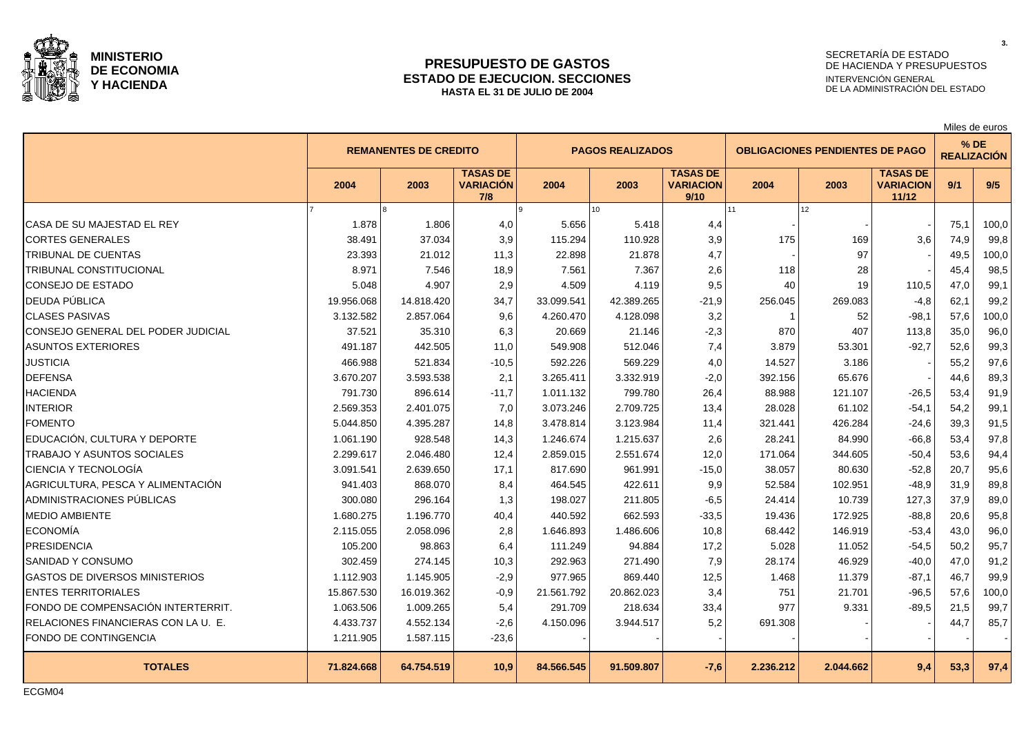

### **PRESUPUESTO DE GASTOS ESTADO DE EJECUCION. SECCIONES HASTA EL 31 DE JULIO DE 2004**

# SECRETARÍA DE ESTADO DE HACIENDA Y PRESUPUESTOS INTERVENCIÓN GENERAL DE LA ADMINISTRACIÓN DEL ESTADO

Miles de euros

**3.**

|                                       |            |                              |                                            |            |                         |                                             |           | ivilico uc cuiuo                       |                                              |      |                              |
|---------------------------------------|------------|------------------------------|--------------------------------------------|------------|-------------------------|---------------------------------------------|-----------|----------------------------------------|----------------------------------------------|------|------------------------------|
|                                       |            | <b>REMANENTES DE CREDITO</b> |                                            |            | <b>PAGOS REALIZADOS</b> |                                             |           | <b>OBLIGACIONES PENDIENTES DE PAGO</b> |                                              |      | $%$ DE<br><b>REALIZACIÓN</b> |
|                                       | 2004       | 2003                         | <b>TASAS DE</b><br><b>VARIACIÓN</b><br>7/8 | 2004       | 2003                    | <b>TASAS DE</b><br><b>VARIACION</b><br>9/10 | 2004      | 2003                                   | <b>TASAS DE</b><br><b>VARIACION</b><br>11/12 | 9/1  | 9/5                          |
|                                       |            |                              |                                            |            | 10                      |                                             | 11        | 12 <sup>12</sup>                       |                                              |      |                              |
| CASA DE SU MAJESTAD EL REY            | 1.878      | 1.806                        | 4,0                                        | 5.656      | 5.418                   | 4,4                                         |           |                                        |                                              | 75,1 | 100,0                        |
| <b>CORTES GENERALES</b>               | 38.491     | 37.034                       | 3,9                                        | 115.294    | 110.928                 | 3,9                                         | 175       | 169                                    | 3,6                                          | 74,9 | 99,8                         |
| TRIBUNAL DE CUENTAS                   | 23.393     | 21.012                       | 11,3                                       | 22.898     | 21.878                  | 4,7                                         |           | 97                                     |                                              | 49,5 | 100,0                        |
| TRIBUNAL CONSTITUCIONAL               | 8.971      | 7.546                        | 18,9                                       | 7.561      | 7.367                   | 2,6                                         | 118       | 28                                     |                                              | 45,4 | 98,5                         |
| CONSEJO DE ESTADO                     | 5.048      | 4.907                        | 2,9                                        | 4.509      | 4.119                   | 9,5                                         | 40        | 19                                     | 110,5                                        | 47.0 | 99,1                         |
| DEUDA PÚBLICA                         | 19.956.068 | 14.818.420                   | 34,7                                       | 33.099.541 | 42.389.265              | $-21,9$                                     | 256.045   | 269.083                                | $-4,8$                                       | 62,1 | 99,2                         |
| <b>CLASES PASIVAS</b>                 | 3.132.582  | 2.857.064                    | 9,6                                        | 4.260.470  | 4.128.098               | 3,2                                         |           | 52                                     | $-98,1$                                      | 57,6 | 100,0                        |
| CONSEJO GENERAL DEL PODER JUDICIAL    | 37.521     | 35.310                       | 6,3                                        | 20.669     | 21.146                  | $-2,3$                                      | 870       | 407                                    | 113,8                                        | 35.0 | 96,0                         |
| <b>ASUNTOS EXTERIORES</b>             | 491.187    | 442.505                      | 11,0                                       | 549.908    | 512.046                 | 7,4                                         | 3.879     | 53.301                                 | $-92,7$                                      | 52,6 | 99,3                         |
| <b>JUSTICIA</b>                       | 466.988    | 521.834                      | $-10,5$                                    | 592.226    | 569.229                 | 4,0                                         | 14.527    | 3.186                                  |                                              | 55,2 | 97,6                         |
| <b>DEFENSA</b>                        | 3.670.207  | 3.593.538                    | 2,1                                        | 3.265.411  | 3.332.919               | $-2,0$                                      | 392.156   | 65.676                                 |                                              | 44,6 | 89,3                         |
| <b>HACIENDA</b>                       | 791.730    | 896.614                      | $-11,7$                                    | 1.011.132  | 799.780                 | 26,4                                        | 88.988    | 121.107                                | $-26,5$                                      | 53,4 | 91,9                         |
| <b>INTERIOR</b>                       | 2.569.353  | 2.401.075                    | 7,0                                        | 3.073.246  | 2.709.725               | 13,4                                        | 28.028    | 61.102                                 | $-54,1$                                      | 54.2 | 99,1                         |
| <b>FOMENTO</b>                        | 5.044.850  | 4.395.287                    | 14,8                                       | 3.478.814  | 3.123.984               | 11,4                                        | 321.441   | 426.284                                | $-24,6$                                      | 39.3 | 91,5                         |
| EDUCACIÓN, CULTURA Y DEPORTE          | 1.061.190  | 928.548                      | 14,3                                       | 1.246.674  | 1.215.637               | 2,6                                         | 28.241    | 84.990                                 | $-66,8$                                      | 53,4 | 97,8                         |
| <b>TRABAJO Y ASUNTOS SOCIALES</b>     | 2.299.617  | 2.046.480                    | 12,4                                       | 2.859.015  | 2.551.674               | 12,0                                        | 171.064   | 344.605                                | $-50,4$                                      | 53.6 | 94,4                         |
| CIENCIA Y TECNOLOGÍA                  | 3.091.541  | 2.639.650                    | 17,1                                       | 817.690    | 961.991                 | $-15,0$                                     | 38.057    | 80.630                                 | $-52,8$                                      | 20,7 | 95,6                         |
| AGRICULTURA, PESCA Y ALIMENTACIÓN     | 941.403    | 868.070                      | 8,4                                        | 464.545    | 422.611                 | 9,9                                         | 52.584    | 102.951                                | $-48,9$                                      | 31,9 | 89,8                         |
| ADMINISTRACIONES PÚBLICAS             | 300.080    | 296.164                      | 1,3                                        | 198.027    | 211.805                 | $-6,5$                                      | 24.414    | 10.739                                 | 127,3                                        | 37,9 | 89,0                         |
| MEDIO AMBIENTE                        | 1.680.275  | 1.196.770                    | 40,4                                       | 440.592    | 662.593                 | $-33,5$                                     | 19.436    | 172.925                                | $-88,8$                                      | 20,6 | 95,8                         |
| <b>ECONOMÍA</b>                       | 2.115.055  | 2.058.096                    | 2,8                                        | 1.646.893  | 1.486.606               | 10,8                                        | 68.442    | 146.919                                | $-53,4$                                      | 43,0 | 96,0                         |
| <b>PRESIDENCIA</b>                    | 105.200    | 98.863                       | 6,4                                        | 111.249    | 94.884                  | 17,2                                        | 5.028     | 11.052                                 | $-54,5$                                      | 50,2 | 95,7                         |
| SANIDAD Y CONSUMO                     | 302.459    | 274.145                      | 10,3                                       | 292.963    | 271.490                 | 7,9                                         | 28.174    | 46.929                                 | $-40,0$                                      | 47,0 | 91,2                         |
| <b>GASTOS DE DIVERSOS MINISTERIOS</b> | 1.112.903  | 1.145.905                    | $-2,9$                                     | 977.965    | 869.440                 | 12,5                                        | 1.468     | 11.379                                 | $-87,1$                                      | 46,7 | 99,9                         |
| <b>ENTES TERRITORIALES</b>            | 15.867.530 | 16.019.362                   | $-0,9$                                     | 21.561.792 | 20.862.023              | 3,4                                         | 751       | 21.701                                 | $-96,5$                                      | 57.6 | 100,0                        |
| FONDO DE COMPENSACIÓN INTERTERRIT.    | 1.063.506  | 1.009.265                    | 5,4                                        | 291.709    | 218.634                 | 33,4                                        | 977       | 9.331                                  | $-89,5$                                      | 21,5 | 99,7                         |
| RELACIONES FINANCIERAS CON LA U. E.   | 4.433.737  | 4.552.134                    | $-2,6$                                     | 4.150.096  | 3.944.517               | 5,2                                         | 691.308   |                                        |                                              | 44,7 | 85,7                         |
| FONDO DE CONTINGENCIA                 | 1.211.905  | 1.587.115                    | $-23,6$                                    |            |                         |                                             |           |                                        |                                              |      |                              |
| <b>TOTALES</b>                        | 71.824.668 | 64.754.519                   | 10,9                                       | 84.566.545 | 91.509.807              | $-7,6$                                      | 2.236.212 | 2.044.662                              | 9,4                                          | 53,3 | 97,4                         |

ECGM04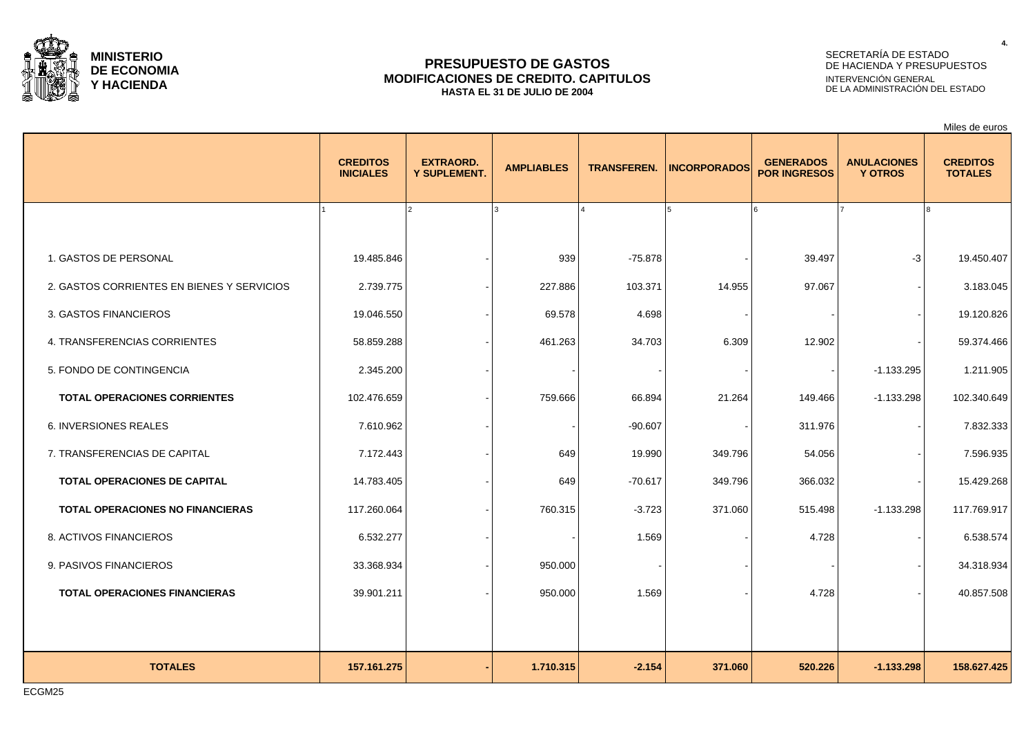

### **PRESUPUESTO DE GASTOS MODIFICACIONES DE CREDITO. CAPITULOS HASTA EL 31 DE JULIO DE 2004**

# SECRETARÍA DE ESTADO DE HACIENDA Y PRESUPUESTOS INTERVENCIÓN GENERAL DE LA ADMINISTRACIÓN DEL ESTADO

Miles de euros

|                                            | <b>CREDITOS</b><br><b>INICIALES</b> | <b>EXTRAORD.</b><br>Y SUPLEMENT. | <b>AMPLIABLES</b> | <b>TRANSFEREN.</b> | <b>INCORPORADOS</b> | <b>GENERADOS</b><br><b>POR INGRESOS</b> | <b>ANULACIONES</b><br><b>Y OTROS</b> | <b>CREDITOS</b><br><b>TOTALES</b> |
|--------------------------------------------|-------------------------------------|----------------------------------|-------------------|--------------------|---------------------|-----------------------------------------|--------------------------------------|-----------------------------------|
|                                            |                                     | $\overline{2}$                   | $\overline{a}$    |                    | 5                   |                                         |                                      |                                   |
| 1. GASTOS DE PERSONAL                      | 19.485.846                          |                                  | 939               | $-75.878$          |                     | 39.497                                  | $-3$                                 | 19.450.407                        |
| 2. GASTOS CORRIENTES EN BIENES Y SERVICIOS | 2.739.775                           |                                  | 227.886           | 103.371            | 14.955              | 97.067                                  |                                      | 3.183.045                         |
| 3. GASTOS FINANCIEROS                      | 19.046.550                          |                                  | 69.578            | 4.698              |                     |                                         |                                      | 19.120.826                        |
| 4. TRANSFERENCIAS CORRIENTES               | 58.859.288                          |                                  | 461.263           | 34.703             | 6.309               | 12.902                                  |                                      | 59.374.466                        |
| 5. FONDO DE CONTINGENCIA                   | 2.345.200                           |                                  |                   |                    |                     |                                         | $-1.133.295$                         | 1.211.905                         |
| <b>TOTAL OPERACIONES CORRIENTES</b>        | 102.476.659                         |                                  | 759.666           | 66.894             | 21.264              | 149.466                                 | $-1.133.298$                         | 102.340.649                       |
| 6. INVERSIONES REALES                      | 7.610.962                           |                                  |                   | $-90.607$          |                     | 311.976                                 |                                      | 7.832.333                         |
| 7. TRANSFERENCIAS DE CAPITAL               | 7.172.443                           |                                  | 649               | 19.990             | 349.796             | 54.056                                  |                                      | 7.596.935                         |
| TOTAL OPERACIONES DE CAPITAL               | 14.783.405                          |                                  | 649               | $-70.617$          | 349.796             | 366.032                                 |                                      | 15.429.268                        |
| <b>TOTAL OPERACIONES NO FINANCIERAS</b>    | 117.260.064                         |                                  | 760.315           | $-3.723$           | 371.060             | 515.498                                 | $-1.133.298$                         | 117.769.917                       |
| 8. ACTIVOS FINANCIEROS                     | 6.532.277                           |                                  |                   | 1.569              |                     | 4.728                                   |                                      | 6.538.574                         |
| 9. PASIVOS FINANCIEROS                     | 33.368.934                          |                                  | 950.000           |                    |                     |                                         |                                      | 34.318.934                        |
| <b>TOTAL OPERACIONES FINANCIERAS</b>       | 39.901.211                          |                                  | 950.000           | 1.569              |                     | 4.728                                   |                                      | 40.857.508                        |
|                                            |                                     |                                  |                   |                    |                     |                                         |                                      |                                   |
| <b>TOTALES</b>                             | 157.161.275                         |                                  | 1.710.315         | $-2.154$           | 371.060             | 520.226                                 | $-1.133.298$                         | 158.627.425                       |

ECGM25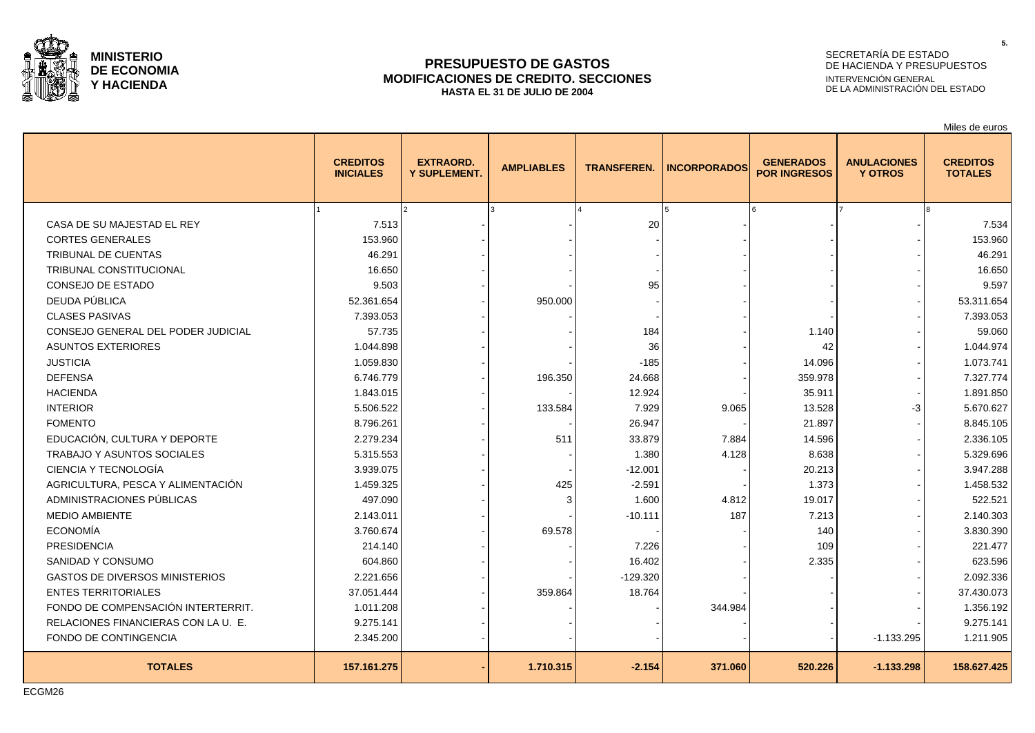

### **PRESUPUESTO DE GASTOS MODIFICACIONES DE CREDITO. SECCIONES HASTA EL 31 DE JULIO DE 2004**

# SECRETARÍA DE ESTADO DE HACIENDA Y PRESUPUESTOS INTERVENCIÓN GENERAL DE LA ADMINISTRACIÓN DEL ESTADO

Miles de euros

|                                       | <b>CREDITOS</b><br><b>INICIALES</b> | <b>EXTRAORD.</b><br>Y SUPLEMENT. | <b>AMPLIABLES</b> | <b>TRANSFEREN.</b> | <b>INCORPORADOS</b> | <b>GENERADOS</b><br><b>POR INGRESOS</b> | <b>ANULACIONES</b><br><b>Y OTROS</b> | <b>CREDITOS</b><br><b>TOTALES</b> |
|---------------------------------------|-------------------------------------|----------------------------------|-------------------|--------------------|---------------------|-----------------------------------------|--------------------------------------|-----------------------------------|
|                                       |                                     |                                  |                   |                    | 15                  |                                         |                                      |                                   |
| CASA DE SU MAJESTAD EL REY            | 7.513                               |                                  |                   | 20                 |                     |                                         |                                      | 7.534                             |
| <b>CORTES GENERALES</b>               | 153.960                             |                                  |                   |                    |                     |                                         |                                      | 153.960                           |
| TRIBUNAL DE CUENTAS                   | 46.291                              |                                  |                   |                    |                     |                                         |                                      | 46.291                            |
| <b>TRIBUNAL CONSTITUCIONAL</b>        | 16.650                              |                                  |                   |                    |                     |                                         |                                      | 16.650                            |
| CONSEJO DE ESTADO                     | 9.503                               |                                  |                   | 95                 |                     |                                         |                                      | 9.597                             |
| DEUDA PÚBLICA                         | 52.361.654                          |                                  | 950.000           |                    |                     |                                         |                                      | 53.311.654                        |
| <b>CLASES PASIVAS</b>                 | 7.393.053                           |                                  |                   |                    |                     |                                         |                                      | 7.393.053                         |
| CONSEJO GENERAL DEL PODER JUDICIAL    | 57.735                              |                                  |                   | 184                |                     | 1.140                                   |                                      | 59.060                            |
| <b>ASUNTOS EXTERIORES</b>             | 1.044.898                           |                                  |                   | 36                 |                     | 42                                      |                                      | 1.044.974                         |
| <b>JUSTICIA</b>                       | 1.059.830                           |                                  |                   | $-185$             |                     | 14.096                                  |                                      | 1.073.741                         |
| <b>DEFENSA</b>                        | 6.746.779                           |                                  | 196.350           | 24.668             |                     | 359.978                                 |                                      | 7.327.774                         |
| <b>HACIENDA</b>                       | 1.843.015                           |                                  |                   | 12.924             |                     | 35.911                                  |                                      | 1.891.850                         |
| <b>INTERIOR</b>                       | 5.506.522                           |                                  | 133.584           | 7.929              | 9.065               | 13.528                                  | -3                                   | 5.670.627                         |
| <b>FOMENTO</b>                        | 8.796.261                           |                                  |                   | 26.947             |                     | 21.897                                  |                                      | 8.845.105                         |
| EDUCACIÓN, CULTURA Y DEPORTE          | 2.279.234                           |                                  | 511               | 33.879             | 7.884               | 14.596                                  |                                      | 2.336.105                         |
| <b>TRABAJO Y ASUNTOS SOCIALES</b>     | 5.315.553                           |                                  |                   | 1.380              | 4.128               | 8.638                                   |                                      | 5.329.696                         |
| CIENCIA Y TECNOLOGÍA                  | 3.939.075                           |                                  |                   | $-12.001$          |                     | 20.213                                  |                                      | 3.947.288                         |
| AGRICULTURA, PESCA Y ALIMENTACIÓN     | 1.459.325                           |                                  | 425               | $-2.591$           |                     | 1.373                                   |                                      | 1.458.532                         |
| ADMINISTRACIONES PÚBLICAS             | 497.090                             |                                  |                   | 1.600              | 4.812               | 19.017                                  |                                      | 522.521                           |
| <b>MEDIO AMBIENTE</b>                 | 2.143.011                           |                                  |                   | $-10.111$          | 187                 | 7.213                                   |                                      | 2.140.303                         |
| <b>ECONOMÍA</b>                       | 3.760.674                           |                                  | 69.578            |                    |                     | 140                                     |                                      | 3.830.390                         |
| <b>PRESIDENCIA</b>                    | 214.140                             |                                  |                   | 7.226              |                     | 109                                     |                                      | 221.477                           |
| SANIDAD Y CONSUMO                     | 604.860                             |                                  |                   | 16.402             |                     | 2.335                                   |                                      | 623.596                           |
| <b>GASTOS DE DIVERSOS MINISTERIOS</b> | 2.221.656                           |                                  |                   | $-129.320$         |                     |                                         |                                      | 2.092.336                         |
| <b>ENTES TERRITORIALES</b>            | 37.051.444                          |                                  | 359.864           | 18.764             |                     |                                         |                                      | 37.430.073                        |
| FONDO DE COMPENSACIÓN INTERTERRIT.    | 1.011.208                           |                                  |                   |                    | 344.984             |                                         |                                      | 1.356.192                         |
| RELACIONES FINANCIERAS CON LA U. E.   | 9.275.141                           |                                  |                   |                    |                     |                                         |                                      | 9.275.141                         |
| FONDO DE CONTINGENCIA                 | 2.345.200                           |                                  |                   |                    |                     |                                         | $-1.133.295$                         | 1.211.905                         |
| <b>TOTALES</b>                        | 157.161.275                         |                                  | 1.710.315         | $-2.154$           | 371.060             | 520.226                                 | $-1.133.298$                         | 158.627.425                       |

**5.**